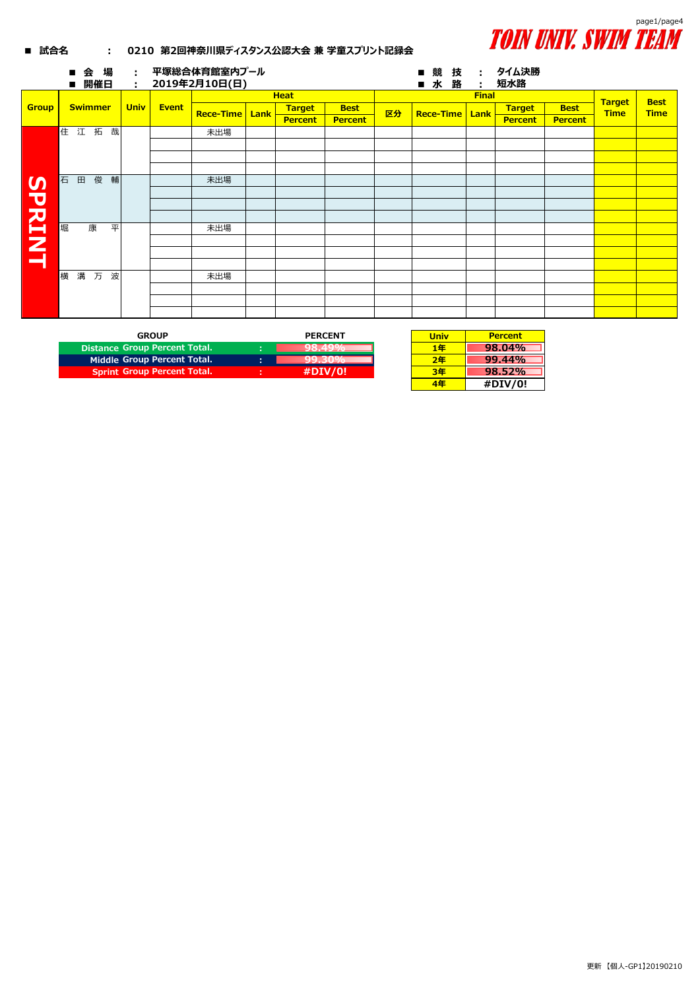

## **■ 試合名 : 0210 第2回神奈川県ディスタンス公認大会 兼 学童スプリント記録会**

|                           | 場<br>会<br>$\blacksquare$<br>開催日<br>п | ÷.<br>÷     |              | 平塚総合体育館室内プール<br>2019年2月10日(日) |      |                |                |    | 競<br>技<br>п<br>水<br>路<br>п | タイム決勝<br>÷<br>÷ |                |                |                              |                            |
|---------------------------|--------------------------------------|-------------|--------------|-------------------------------|------|----------------|----------------|----|----------------------------|-----------------|----------------|----------------|------------------------------|----------------------------|
|                           |                                      |             |              | <b>Heat</b>                   |      |                |                |    | <b>Final</b>               |                 |                |                |                              |                            |
| <b>Group</b>              | <b>Swimmer</b>                       | <b>Univ</b> | <b>Event</b> | <b>Rece-Time</b>              | Lank | <b>Target</b>  | <b>Best</b>    | 区分 | <b>Rece-Time</b>           | Lank            | <b>Target</b>  | <b>Best</b>    | <b>Target</b><br><b>Time</b> | <b>Best</b><br><b>Time</b> |
|                           |                                      |             |              |                               |      | <b>Percent</b> | <b>Percent</b> |    |                            |                 | <b>Percent</b> | <b>Percent</b> |                              |                            |
|                           | 住江拓<br>哉                             |             |              | 未出場                           |      |                |                |    |                            |                 |                |                |                              |                            |
|                           |                                      |             |              |                               |      |                |                |    |                            |                 |                |                |                              |                            |
|                           |                                      |             |              |                               |      |                |                |    |                            |                 |                |                |                              |                            |
| $\boldsymbol{\mathsf{S}}$ |                                      |             |              |                               |      |                |                |    |                            |                 |                |                |                              |                            |
|                           | 俊<br>輔<br>石<br>田                     |             |              | 未出場                           |      |                |                |    |                            |                 |                |                |                              |                            |
|                           |                                      |             |              |                               |      |                |                |    |                            |                 |                |                |                              |                            |
|                           |                                      |             |              |                               |      |                |                |    |                            |                 |                |                |                              |                            |
|                           |                                      |             |              |                               |      |                |                |    |                            |                 |                |                |                              |                            |
| <b>PRINT</b>              | 堀<br>平<br>康                          |             |              | 未出場                           |      |                |                |    |                            |                 |                |                |                              |                            |
|                           |                                      |             |              |                               |      |                |                |    |                            |                 |                |                |                              |                            |
|                           |                                      |             |              |                               |      |                |                |    |                            |                 |                |                |                              |                            |
|                           |                                      |             |              |                               |      |                |                |    |                            |                 |                |                |                              |                            |
|                           | 横<br>溝<br>波<br>万                     |             |              | 未出場                           |      |                |                |    |                            |                 |                |                |                              |                            |
|                           |                                      |             |              |                               |      |                |                |    |                            |                 |                |                |                              |                            |
|                           |                                      |             |              |                               |      |                |                |    |                            |                 |                |                |                              |                            |
|                           |                                      |             |              |                               |      |                |                |    |                            |                 |                |                |                              |                            |

| <b>GROUP</b>                       | <b>PERCENT</b> | Univ  |
|------------------------------------|----------------|-------|
| Distance Group Percent Total.      |                | 1 £ F |
| Middle Group Percent Total.        | ٠              | ר- ב- |
| <b>Sprint Group Percent Total.</b> | #DIV/0!        |       |
|                                    |                |       |

| Univ | <b>Percent</b> |
|------|----------------|
| 1年   | 98.04%         |
| 2年   | 99.44%         |
| 3年   | $98.52\%$      |
| 4年   | #DIV/0!        |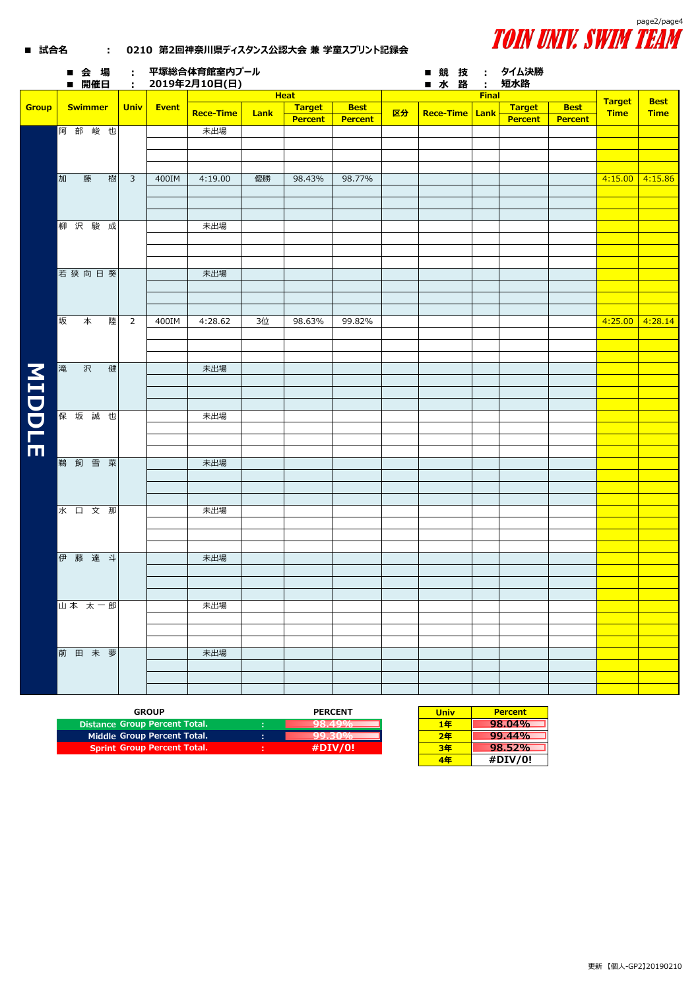

## ■ 試合名 : 0210 第2回神奈川県ディスタンス公認大会 兼 学童スプリント記録会

|               |   | ■会場<br>■ 開催日   |   | $\sim 10^{-1}$ |       | 平塚総合体育館室内プール<br>: 2019年2月10日(日) |      |             |                |    | ■ 競技 : タイム決勝<br>■ 水 路 |              | :        短水路 |                |                   |             |
|---------------|---|----------------|---|----------------|-------|---------------------------------|------|-------------|----------------|----|-----------------------|--------------|--------------|----------------|-------------------|-------------|
|               |   |                |   |                |       |                                 |      | <b>Heat</b> |                |    |                       | <b>Final</b> |              |                |                   |             |
| Group         |   | <b>Swimmer</b> |   | <b>Univ</b>    | Event |                                 |      | Target      | <b>Best</b>    |    |                       |              | Target       | <b>Best</b>    | <b>Target</b>     | <b>Best</b> |
|               |   |                |   |                |       | <b>Rece-Time</b>                | Lank | Percent     | <b>Percent</b> | 区分 | Rece-Time   Lank      |              | Percent      | <b>Percent</b> | <b>Time</b>       | <b>Time</b> |
|               |   | 阿部峻也           |   |                |       | 未出場                             |      |             |                |    |                       |              |              |                |                   |             |
|               |   |                |   |                |       |                                 |      |             |                |    |                       |              |              |                |                   |             |
|               |   |                |   |                |       |                                 |      |             |                |    |                       |              |              |                |                   |             |
|               |   |                |   |                |       |                                 |      |             |                |    |                       |              |              |                |                   |             |
|               |   |                |   |                |       |                                 |      |             |                |    |                       |              |              |                |                   |             |
|               | 加 | 藤              | 樹 | $\overline{3}$ | 400IM | 4:19.00                         | 優勝   | 98.43%      | 98.77%         |    |                       |              |              |                | $4:15.00$ 4:15.86 |             |
|               |   |                |   |                |       |                                 |      |             |                |    |                       |              |              |                |                   |             |
|               |   |                |   |                |       |                                 |      |             |                |    |                       |              |              |                |                   |             |
|               |   |                |   |                |       |                                 |      |             |                |    |                       |              |              |                |                   |             |
|               |   | 柳沢駿成           |   |                |       | 未出場                             |      |             |                |    |                       |              |              |                |                   |             |
|               |   |                |   |                |       |                                 |      |             |                |    |                       |              |              |                |                   |             |
|               |   |                |   |                |       |                                 |      |             |                |    |                       |              |              |                |                   |             |
|               |   |                |   |                |       |                                 |      |             |                |    |                       |              |              |                |                   |             |
|               |   | 若狭向日葵          |   |                |       | 未出場                             |      |             |                |    |                       |              |              |                |                   |             |
|               |   |                |   |                |       |                                 |      |             |                |    |                       |              |              |                |                   |             |
|               |   |                |   |                |       |                                 |      |             |                |    |                       |              |              |                |                   |             |
|               |   |                |   |                |       |                                 |      |             |                |    |                       |              |              |                |                   |             |
|               |   |                |   |                |       |                                 |      |             |                |    |                       |              |              |                |                   |             |
|               | 坂 | 本              | 陸 | $\overline{2}$ | 400IM | 4:28.62                         | 3位   | 98.63%      | 99.82%         |    |                       |              |              |                | $4:25.00$ 4:28.14 |             |
|               |   |                |   |                |       |                                 |      |             |                |    |                       |              |              |                |                   |             |
|               |   |                |   |                |       |                                 |      |             |                |    |                       |              |              |                |                   |             |
|               |   |                |   |                |       |                                 |      |             |                |    |                       |              |              |                |                   |             |
|               | 滝 | 沢              | 健 |                |       | 未出場                             |      |             |                |    |                       |              |              |                |                   |             |
| <b>MIDDLE</b> |   |                |   |                |       |                                 |      |             |                |    |                       |              |              |                |                   |             |
|               |   |                |   |                |       |                                 |      |             |                |    |                       |              |              |                |                   |             |
|               |   |                |   |                |       |                                 |      |             |                |    |                       |              |              |                |                   |             |
|               |   | 保坂誠也           |   |                |       | 未出場                             |      |             |                |    |                       |              |              |                |                   |             |
|               |   |                |   |                |       |                                 |      |             |                |    |                       |              |              |                |                   |             |
|               |   |                |   |                |       |                                 |      |             |                |    |                       |              |              |                |                   |             |
|               |   |                |   |                |       |                                 |      |             |                |    |                       |              |              |                |                   |             |
|               |   | 鵜 飼 雪 菜        |   |                |       |                                 |      |             |                |    |                       |              |              |                |                   |             |
|               |   |                |   |                |       | 未出場                             |      |             |                |    |                       |              |              |                |                   |             |
|               |   |                |   |                |       |                                 |      |             |                |    |                       |              |              |                |                   |             |
|               |   |                |   |                |       |                                 |      |             |                |    |                       |              |              |                |                   |             |
|               |   |                |   |                |       |                                 |      |             |                |    |                       |              |              |                |                   |             |
|               |   | 水口文那           |   |                |       | 未出場                             |      |             |                |    |                       |              |              |                |                   |             |
|               |   |                |   |                |       |                                 |      |             |                |    |                       |              |              |                |                   |             |
|               |   |                |   |                |       |                                 |      |             |                |    |                       |              |              |                |                   |             |
|               |   |                |   |                |       |                                 |      |             |                |    |                       |              |              |                |                   |             |
|               |   | 伊藤達斗           |   |                |       | 未出場                             |      |             |                |    |                       |              |              |                |                   |             |
|               |   |                |   |                |       |                                 |      |             |                |    |                       |              |              |                |                   |             |
|               |   |                |   |                |       |                                 |      |             |                |    |                       |              |              |                |                   |             |
|               |   |                |   |                |       |                                 |      |             |                |    |                       |              |              |                |                   |             |
|               |   | 山本 太一郎         |   |                |       | 未出場                             |      |             |                |    |                       |              |              |                |                   |             |
|               |   |                |   |                |       |                                 |      |             |                |    |                       |              |              |                |                   |             |
|               |   |                |   |                |       |                                 |      |             |                |    |                       |              |              |                |                   |             |
|               |   |                |   |                |       |                                 |      |             |                |    |                       |              |              |                |                   |             |
|               |   |                |   |                |       |                                 |      |             |                |    |                       |              |              |                |                   |             |
|               |   | 前田未夢           |   |                |       | 未出場                             |      |             |                |    |                       |              |              |                |                   |             |
|               |   |                |   |                |       |                                 |      |             |                |    |                       |              |              |                |                   |             |
|               |   |                |   |                |       |                                 |      |             |                |    |                       |              |              |                |                   |             |
|               |   |                |   |                |       |                                 |      |             |                |    |                       |              |              |                |                   |             |

| <b>GROUP</b>                       |    | <b>PERCENT</b> | Univ | <b>Percent</b> |
|------------------------------------|----|----------------|------|----------------|
| Distance Group Percent Total.      |    | .              | 1年   | 98.04%         |
| Middle Group Percent Total.        | п. |                | 2年   | 99.44%         |
| <b>Sprint Group Percent Total.</b> |    | #DIV/0!        | 3年   | 98.52%         |
|                                    |    |                |      |                |

| <b>Univ</b> | <b>Percent</b> |
|-------------|----------------|
| 1年          | 98.04%         |
| 2年          | 99.44%         |
| 3年          | 98.52%         |
| 4年          | #DIV/0!        |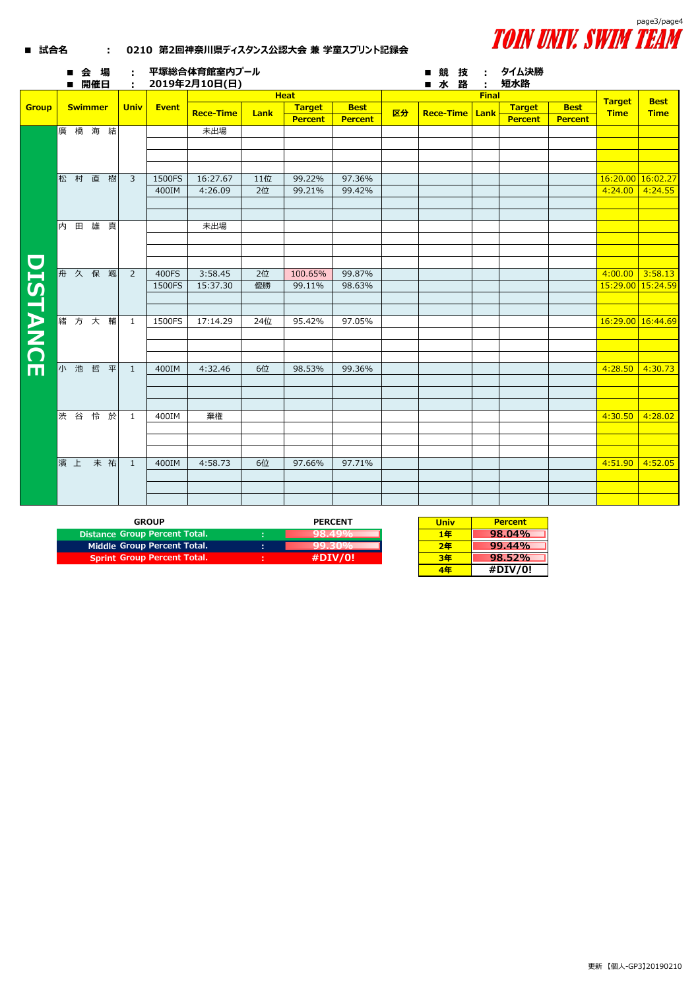

## ■ 試合名 : 0210 第2回神奈川県ディスタンス公認大会 兼 学童スプリント記録会

|                 |   |            | 会場<br>■ 開催日    |   | ÷<br>$\mathcal{L}_{\mathrm{eff}}$ |              | 平塚総合体育館室内プール<br>2019年2月10日(日) |             |                |                |    | 競<br>技<br>■水<br>路 | ÷.<br>÷ | タイム決勝<br>短水路   |                |                              |                            |
|-----------------|---|------------|----------------|---|-----------------------------------|--------------|-------------------------------|-------------|----------------|----------------|----|-------------------|---------|----------------|----------------|------------------------------|----------------------------|
|                 |   |            |                |   |                                   |              |                               | <b>Heat</b> |                |                |    | <b>Final</b>      |         |                |                |                              |                            |
| <b>Group</b>    |   |            | <b>Swimmer</b> |   | <b>Univ</b>                       | <b>Event</b> | <b>Rece-Time</b>              | Lank        | <b>Target</b>  | <b>Best</b>    | 区分 | <b>Rece-Time</b>  | Lank    | <b>Target</b>  | <b>Best</b>    | <b>Target</b><br><b>Time</b> | <b>Best</b><br><b>Time</b> |
|                 |   |            |                |   |                                   |              |                               |             | <b>Percent</b> | <b>Percent</b> |    |                   |         | <b>Percent</b> | <b>Percent</b> |                              |                            |
|                 |   |            | 廣橋海結           |   |                                   |              | 未出場                           |             |                |                |    |                   |         |                |                |                              |                            |
|                 |   |            |                |   |                                   |              |                               |             |                |                |    |                   |         |                |                |                              |                            |
|                 |   |            |                |   |                                   |              |                               |             |                |                |    |                   |         |                |                |                              |                            |
|                 |   |            |                |   |                                   |              |                               |             |                |                |    |                   |         |                |                |                              |                            |
|                 | 松 | 村          | 直樹             |   | $\overline{3}$                    | 1500FS       | 16:27.67                      | 11位         | 99.22%         | 97.36%         |    |                   |         |                |                | 16:20.00 16:02.27            |                            |
|                 |   |            |                |   |                                   | 400IM        | 4:26.09                       | 2位          | 99.21%         | 99.42%         |    |                   |         |                |                | 4:24.00                      | 4:24.55                    |
|                 |   |            |                |   |                                   |              |                               |             |                |                |    |                   |         |                |                |                              |                            |
|                 |   |            |                |   |                                   |              |                               |             |                |                |    |                   |         |                |                |                              |                            |
|                 | 内 | $\boxplus$ | 雄真             |   |                                   |              | 未出場                           |             |                |                |    |                   |         |                |                |                              |                            |
|                 |   |            |                |   |                                   |              |                               |             |                |                |    |                   |         |                |                |                              |                            |
|                 |   |            |                |   |                                   |              |                               |             |                |                |    |                   |         |                |                |                              |                            |
|                 |   |            |                |   |                                   |              |                               |             |                |                |    |                   |         |                |                |                              |                            |
|                 |   | 舟 久        | 保              | 颯 | $\overline{2}$                    | 400FS        | 3:58.45                       | 2位          | 100.65%        | 99.87%         |    |                   |         |                |                | 4:00.00                      | 3:58.13                    |
|                 |   |            |                |   |                                   | 1500FS       | 15:37.30                      | 優勝          | 99.11%         | 98.63%         |    |                   |         |                |                | 15:29.00 15:24.59            |                            |
| <b>DISTANCE</b> |   |            |                |   |                                   |              |                               |             |                |                |    |                   |         |                |                |                              |                            |
|                 |   |            |                |   |                                   |              |                               |             |                |                |    |                   |         |                |                |                              |                            |
|                 |   |            | 緒方大輔           |   | $\mathbf{1}$                      | 1500FS       | 17:14.29                      | 24位         | 95.42%         | 97.05%         |    |                   |         |                |                | 16:29.00 16:44.69            |                            |
|                 |   |            |                |   |                                   |              |                               |             |                |                |    |                   |         |                |                |                              |                            |
|                 |   |            |                |   |                                   |              |                               |             |                |                |    |                   |         |                |                |                              |                            |
|                 |   |            |                |   |                                   |              |                               |             |                |                |    |                   |         |                |                |                              |                            |
|                 |   |            | 小池哲平           |   | $\mathbf{1}$                      | 400IM        | 4:32.46                       | 6位          | 98.53%         | 99.36%         |    |                   |         |                |                | 4:28.50                      | 4:30.73                    |
|                 |   |            |                |   |                                   |              |                               |             |                |                |    |                   |         |                |                |                              |                            |
|                 |   |            |                |   |                                   |              |                               |             |                |                |    |                   |         |                |                |                              |                            |
|                 |   |            |                |   |                                   |              |                               |             |                |                |    |                   |         |                |                |                              |                            |
|                 |   | 渋 谷        | 怜 於            |   | 1                                 | 400IM        | 棄権                            |             |                |                |    |                   |         |                |                | 4:30.50                      | 4:28.02                    |
|                 |   |            |                |   |                                   |              |                               |             |                |                |    |                   |         |                |                |                              |                            |
|                 |   |            |                |   |                                   |              |                               |             |                |                |    |                   |         |                |                |                              |                            |
|                 |   | 濱上         | 未祐             |   |                                   |              |                               | 6位          |                |                |    |                   |         |                |                |                              |                            |
|                 |   |            |                |   | <sup>1</sup>                      | 400IM        | 4:58.73                       |             | 97.66%         | 97.71%         |    |                   |         |                |                | 4:51.90                      | 4:52.05                    |
|                 |   |            |                |   |                                   |              |                               |             |                |                |    |                   |         |                |                |                              |                            |
|                 |   |            |                |   |                                   |              |                               |             |                |                |    |                   |         |                |                |                              |                            |
|                 |   |            |                |   |                                   |              |                               |             |                |                |    |                   |         |                |                |                              |                            |

| <b>GROUP</b>                         |    | <b>PERCENT</b> | <b>Univ</b> | <b>Percent</b> |
|--------------------------------------|----|----------------|-------------|----------------|
| <b>Distance Group Percent Total.</b> |    | 70. TJ 70      | 1年          | 98.04%         |
| Middle Group Percent Total.          | п. | --------       | 2年          | 99.44%         |
| <b>Sprint Group Percent Total.</b>   |    | #DIV/0!        | 3年          | 98.52%         |

| <b>Univ</b> | <b>Percent</b> |
|-------------|----------------|
| 1年          | 98.04%         |
| 2年          | 99.44%         |
| 3年          | 98.52%         |
| 4年          | #DIV/0!        |